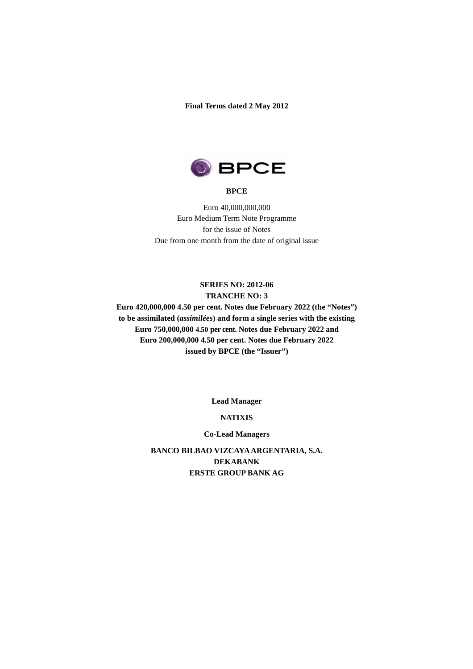**Final Terms dated 2 May 2012** 



#### **BPCE**

Euro 40,000,000,000 Euro Medium Term Note Programme for the issue of Notes Due from one month from the date of original issue

## **SERIES NO: 2012-06 TRANCHE NO: 3**

**Euro 420,000,000 4.50 per cent. Notes due February 2022 (the "Notes") to be assimilated (***assimilées***) and form a single series with the existing Euro 750,000,000 4.50 per cent. Notes due February 2022 and Euro 200,000,000 4.50 per cent. Notes due February 2022 issued by BPCE (the "Issuer")**

**Lead Manager** 

### **NATIXIS**

#### **Co-Lead Managers**

**BANCO BILBAO VIZCAYA ARGENTARIA, S.A. DEKABANK ERSTE GROUP BANK AG**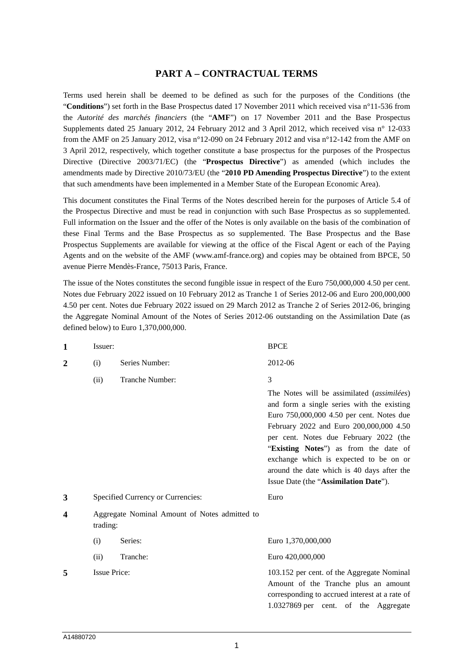## **PART A – CONTRACTUAL TERMS**

Terms used herein shall be deemed to be defined as such for the purposes of the Conditions (the "**Conditions**") set forth in the Base Prospectus dated 17 November 2011 which received visa n°11-536 from the *Autorité des marchés financiers* (the "**AMF**") on 17 November 2011 and the Base Prospectus Supplements dated 25 January 2012, 24 February 2012 and 3 April 2012, which received visa n° 12-033 from the AMF on 25 January 2012, visa n°12-090 on 24 February 2012 and visa n°12-142 from the AMF on 3 April 2012, respectively, which together constitute a base prospectus for the purposes of the Prospectus Directive (Directive 2003/71/EC) (the "**Prospectus Directive**") as amended (which includes the amendments made by Directive 2010/73/EU (the "**2010 PD Amending Prospectus Directive**") to the extent that such amendments have been implemented in a Member State of the European Economic Area).

This document constitutes the Final Terms of the Notes described herein for the purposes of Article 5.4 of the Prospectus Directive and must be read in conjunction with such Base Prospectus as so supplemented. Full information on the Issuer and the offer of the Notes is only available on the basis of the combination of these Final Terms and the Base Prospectus as so supplemented. The Base Prospectus and the Base Prospectus Supplements are available for viewing at the office of the Fiscal Agent or each of the Paying Agents and on the website of the AMF (www.amf-france.org) and copies may be obtained from BPCE, 50 avenue Pierre Mendès-France, 75013 Paris, France.

The issue of the Notes constitutes the second fungible issue in respect of the Euro 750,000,000 4.50 per cent. Notes due February 2022 issued on 10 February 2012 as Tranche 1 of Series 2012-06 and Euro 200,000,000 4.50 per cent. Notes due February 2022 issued on 29 March 2012 as Tranche 2 of Series 2012-06, bringing the Aggregate Nominal Amount of the Notes of Series 2012-06 outstanding on the Assimilation Date (as defined below) to Euro 1,370,000,000.

| $\mathbf{1}$   | Issuer:             |                                               | <b>BPCE</b>                                                                                                                                                                                                                                                                                                                                                                                                 |  |  |  |
|----------------|---------------------|-----------------------------------------------|-------------------------------------------------------------------------------------------------------------------------------------------------------------------------------------------------------------------------------------------------------------------------------------------------------------------------------------------------------------------------------------------------------------|--|--|--|
| $\overline{2}$ | (i)                 | Series Number:                                | 2012-06                                                                                                                                                                                                                                                                                                                                                                                                     |  |  |  |
|                | (ii)                | Tranche Number:                               | 3                                                                                                                                                                                                                                                                                                                                                                                                           |  |  |  |
|                |                     |                                               | The Notes will be assimilated <i>(assimilées)</i><br>and form a single series with the existing<br>Euro 750,000,000 4.50 per cent. Notes due<br>February 2022 and Euro 200,000,000 4.50<br>per cent. Notes due February 2022 (the<br>"Existing Notes") as from the date of<br>exchange which is expected to be on or<br>around the date which is 40 days after the<br>Issue Date (the "Assimilation Date"). |  |  |  |
| 3              |                     | Specified Currency or Currencies:             | Euro                                                                                                                                                                                                                                                                                                                                                                                                        |  |  |  |
| 4              | trading:            | Aggregate Nominal Amount of Notes admitted to |                                                                                                                                                                                                                                                                                                                                                                                                             |  |  |  |
|                | (i)                 | Series:                                       | Euro 1,370,000,000                                                                                                                                                                                                                                                                                                                                                                                          |  |  |  |
|                | (ii)                | Tranche:                                      | Euro 420,000,000                                                                                                                                                                                                                                                                                                                                                                                            |  |  |  |
| 5              | <b>Issue Price:</b> |                                               | 103.152 per cent. of the Aggregate Nominal<br>Amount of the Tranche plus an amount<br>corresponding to accrued interest at a rate of<br>1.0327869 per cent. of the Aggregate                                                                                                                                                                                                                                |  |  |  |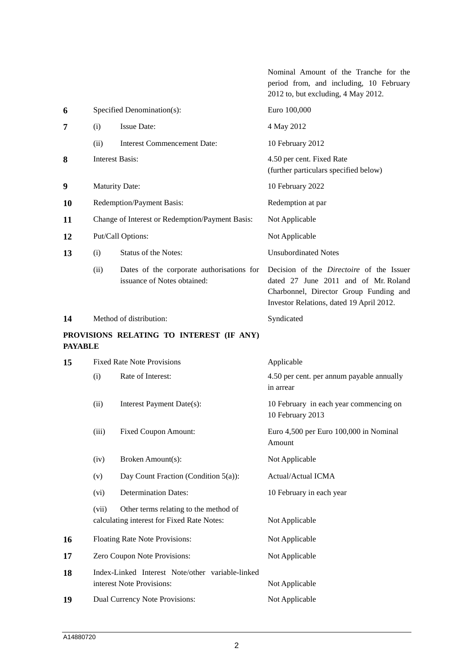|                |       |                                                                                     | Nominal Amount of the Tranche for the<br>period from, and including, 10 February<br>2012 to, but excluding, 4 May 2012.                                                       |  |  |  |  |
|----------------|-------|-------------------------------------------------------------------------------------|-------------------------------------------------------------------------------------------------------------------------------------------------------------------------------|--|--|--|--|
| 6              |       | Specified Denomination(s):                                                          | Euro 100,000                                                                                                                                                                  |  |  |  |  |
| 7              | (i)   | <b>Issue Date:</b>                                                                  | 4 May 2012                                                                                                                                                                    |  |  |  |  |
|                | (ii)  | <b>Interest Commencement Date:</b>                                                  | 10 February 2012                                                                                                                                                              |  |  |  |  |
| 8              |       | <b>Interest Basis:</b>                                                              | 4.50 per cent. Fixed Rate<br>(further particulars specified below)                                                                                                            |  |  |  |  |
| 9              |       | <b>Maturity Date:</b>                                                               | 10 February 2022                                                                                                                                                              |  |  |  |  |
| 10             |       | Redemption/Payment Basis:                                                           | Redemption at par                                                                                                                                                             |  |  |  |  |
| 11             |       | Change of Interest or Redemption/Payment Basis:                                     | Not Applicable                                                                                                                                                                |  |  |  |  |
| 12             |       | Put/Call Options:                                                                   | Not Applicable                                                                                                                                                                |  |  |  |  |
| 13             | (i)   | Status of the Notes:                                                                | <b>Unsubordinated Notes</b>                                                                                                                                                   |  |  |  |  |
|                | (ii)  | Dates of the corporate authorisations for<br>issuance of Notes obtained:            | Decision of the <i>Directoire</i> of the Issuer<br>dated 27 June 2011 and of Mr. Roland<br>Charbonnel, Director Group Funding and<br>Investor Relations, dated 19 April 2012. |  |  |  |  |
| 14             |       | Method of distribution:                                                             | Syndicated                                                                                                                                                                    |  |  |  |  |
| <b>PAYABLE</b> |       | PROVISIONS RELATING TO INTEREST (IF ANY)                                            |                                                                                                                                                                               |  |  |  |  |
| 15             |       | <b>Fixed Rate Note Provisions</b>                                                   | Applicable                                                                                                                                                                    |  |  |  |  |
|                | (i)   | Rate of Interest:                                                                   | 4.50 per cent. per annum payable annually<br>in arrear                                                                                                                        |  |  |  |  |
|                | (ii)  | Interest Payment Date(s):                                                           | 10 February in each year commencing on<br>10 February 2013                                                                                                                    |  |  |  |  |
|                | (iii) | <b>Fixed Coupon Amount:</b>                                                         | Euro 4,500 per Euro 100,000 in Nominal<br>Amount                                                                                                                              |  |  |  |  |
|                | (iv)  | Broken Amount(s):                                                                   | Not Applicable                                                                                                                                                                |  |  |  |  |
|                | (v)   | Day Count Fraction (Condition 5(a)):                                                | Actual/Actual ICMA                                                                                                                                                            |  |  |  |  |
|                | (vi)  | <b>Determination Dates:</b>                                                         | 10 February in each year                                                                                                                                                      |  |  |  |  |
|                | (vii) | Other terms relating to the method of<br>calculating interest for Fixed Rate Notes: | Not Applicable                                                                                                                                                                |  |  |  |  |
| 16             |       | Floating Rate Note Provisions:                                                      | Not Applicable                                                                                                                                                                |  |  |  |  |
| 17             |       | Zero Coupon Note Provisions:                                                        | Not Applicable                                                                                                                                                                |  |  |  |  |
| 18             |       | Index-Linked Interest Note/other variable-linked<br>interest Note Provisions:       | Not Applicable                                                                                                                                                                |  |  |  |  |
| 19             |       | Dual Currency Note Provisions:                                                      | Not Applicable                                                                                                                                                                |  |  |  |  |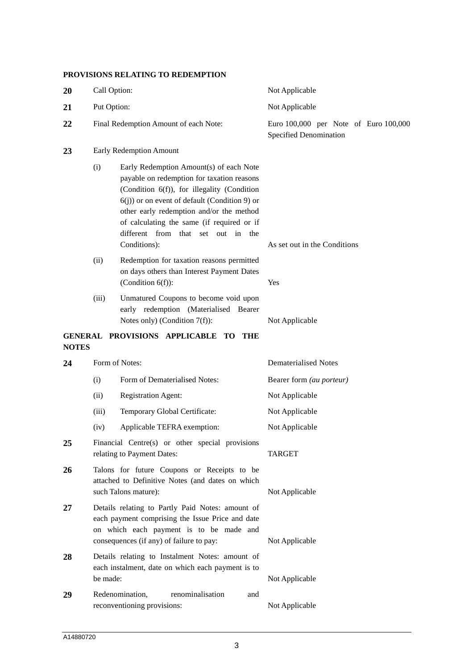## **PROVISIONS RELATING TO REDEMPTION**

| 20           | Call Option:                                                                                                                                                                                                                                                                                                                                    |                                                                                                                                                                                             | Not Applicable                                                  |  |  |  |  |
|--------------|-------------------------------------------------------------------------------------------------------------------------------------------------------------------------------------------------------------------------------------------------------------------------------------------------------------------------------------------------|---------------------------------------------------------------------------------------------------------------------------------------------------------------------------------------------|-----------------------------------------------------------------|--|--|--|--|
| 21           | Put Option:                                                                                                                                                                                                                                                                                                                                     |                                                                                                                                                                                             | Not Applicable                                                  |  |  |  |  |
| 22           |                                                                                                                                                                                                                                                                                                                                                 | Final Redemption Amount of each Note:                                                                                                                                                       | Euro 100,000 per Note of Euro 100,000<br>Specified Denomination |  |  |  |  |
| 23           |                                                                                                                                                                                                                                                                                                                                                 | Early Redemption Amount                                                                                                                                                                     |                                                                 |  |  |  |  |
|              | Early Redemption Amount(s) of each Note<br>(i)<br>payable on redemption for taxation reasons<br>(Condition 6(f)), for illegality (Condition<br>$6(j)$ ) or on event of default (Condition 9) or<br>other early redemption and/or the method<br>of calculating the same (if required or if<br>different from that set out in the<br>Conditions): |                                                                                                                                                                                             | As set out in the Conditions                                    |  |  |  |  |
|              | (ii)                                                                                                                                                                                                                                                                                                                                            | Redemption for taxation reasons permitted<br>on days others than Interest Payment Dates<br>(Condition $6(f)$ ):                                                                             | Yes                                                             |  |  |  |  |
|              | (iii)                                                                                                                                                                                                                                                                                                                                           | Unmatured Coupons to become void upon<br>early redemption (Materialised Bearer<br>Notes only) (Condition $7(f)$ ):                                                                          | Not Applicable                                                  |  |  |  |  |
| <b>NOTES</b> |                                                                                                                                                                                                                                                                                                                                                 | GENERAL PROVISIONS APPLICABLE TO THE                                                                                                                                                        |                                                                 |  |  |  |  |
| 24           | Form of Notes:                                                                                                                                                                                                                                                                                                                                  |                                                                                                                                                                                             | <b>Dematerialised Notes</b>                                     |  |  |  |  |
|              | (i)                                                                                                                                                                                                                                                                                                                                             | Form of Dematerialised Notes:                                                                                                                                                               | Bearer form (au porteur)                                        |  |  |  |  |
|              | (ii)                                                                                                                                                                                                                                                                                                                                            | <b>Registration Agent:</b>                                                                                                                                                                  | Not Applicable                                                  |  |  |  |  |
|              | (iii)                                                                                                                                                                                                                                                                                                                                           | Temporary Global Certificate:                                                                                                                                                               | Not Applicable                                                  |  |  |  |  |
|              | (iv)                                                                                                                                                                                                                                                                                                                                            | Applicable TEFRA exemption:                                                                                                                                                                 | Not Applicable                                                  |  |  |  |  |
| 25           |                                                                                                                                                                                                                                                                                                                                                 | Financial Centre(s) or other special provisions<br>relating to Payment Dates:                                                                                                               | <b>TARGET</b>                                                   |  |  |  |  |
| 26           |                                                                                                                                                                                                                                                                                                                                                 | Talons for future Coupons or Receipts to be<br>attached to Definitive Notes (and dates on which<br>such Talons mature):                                                                     | Not Applicable                                                  |  |  |  |  |
| 27           |                                                                                                                                                                                                                                                                                                                                                 | Details relating to Partly Paid Notes: amount of<br>each payment comprising the Issue Price and date<br>on which each payment is to be made and<br>consequences (if any) of failure to pay: | Not Applicable                                                  |  |  |  |  |
| 28           | be made:                                                                                                                                                                                                                                                                                                                                        | Details relating to Instalment Notes: amount of<br>each instalment, date on which each payment is to                                                                                        | Not Applicable                                                  |  |  |  |  |
| 29           |                                                                                                                                                                                                                                                                                                                                                 | Redenomination,<br>renominalisation<br>and<br>reconventioning provisions:                                                                                                                   | Not Applicable                                                  |  |  |  |  |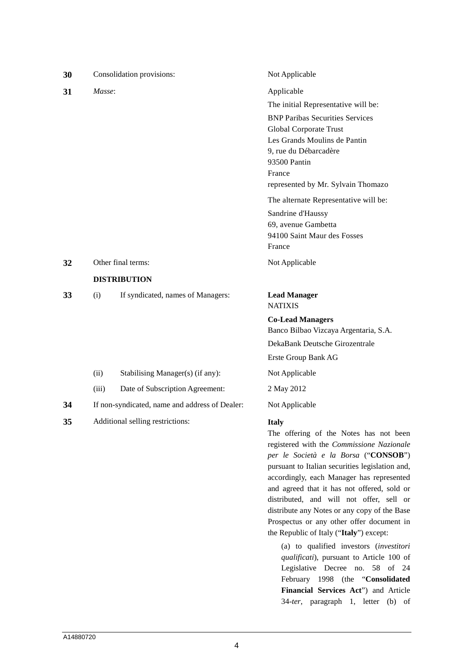| 30 |                                                | Consolidation provisions:         | Not Applicable                                                                                                                                                                                                                                                                                                                                                                         |  |  |  |  |
|----|------------------------------------------------|-----------------------------------|----------------------------------------------------------------------------------------------------------------------------------------------------------------------------------------------------------------------------------------------------------------------------------------------------------------------------------------------------------------------------------------|--|--|--|--|
| 31 | Masse:                                         |                                   | Applicable                                                                                                                                                                                                                                                                                                                                                                             |  |  |  |  |
|    |                                                |                                   | The initial Representative will be:                                                                                                                                                                                                                                                                                                                                                    |  |  |  |  |
|    |                                                |                                   | <b>BNP Paribas Securities Services</b>                                                                                                                                                                                                                                                                                                                                                 |  |  |  |  |
|    |                                                |                                   | Global Corporate Trust                                                                                                                                                                                                                                                                                                                                                                 |  |  |  |  |
|    |                                                |                                   | Les Grands Moulins de Pantin                                                                                                                                                                                                                                                                                                                                                           |  |  |  |  |
|    |                                                |                                   | 9, rue du Débarcadère                                                                                                                                                                                                                                                                                                                                                                  |  |  |  |  |
|    |                                                |                                   | 93500 Pantin                                                                                                                                                                                                                                                                                                                                                                           |  |  |  |  |
|    |                                                |                                   | France                                                                                                                                                                                                                                                                                                                                                                                 |  |  |  |  |
|    |                                                |                                   | represented by Mr. Sylvain Thomazo                                                                                                                                                                                                                                                                                                                                                     |  |  |  |  |
|    |                                                |                                   | The alternate Representative will be:                                                                                                                                                                                                                                                                                                                                                  |  |  |  |  |
|    |                                                |                                   | Sandrine d'Haussy                                                                                                                                                                                                                                                                                                                                                                      |  |  |  |  |
|    |                                                |                                   | 69, avenue Gambetta                                                                                                                                                                                                                                                                                                                                                                    |  |  |  |  |
|    |                                                |                                   | 94100 Saint Maur des Fosses<br>France                                                                                                                                                                                                                                                                                                                                                  |  |  |  |  |
|    |                                                |                                   |                                                                                                                                                                                                                                                                                                                                                                                        |  |  |  |  |
| 32 |                                                | Other final terms:                | Not Applicable                                                                                                                                                                                                                                                                                                                                                                         |  |  |  |  |
|    |                                                | <b>DISTRIBUTION</b>               |                                                                                                                                                                                                                                                                                                                                                                                        |  |  |  |  |
| 33 | (i)                                            | If syndicated, names of Managers: | <b>Lead Manager</b><br><b>NATIXIS</b>                                                                                                                                                                                                                                                                                                                                                  |  |  |  |  |
|    |                                                |                                   | <b>Co-Lead Managers</b>                                                                                                                                                                                                                                                                                                                                                                |  |  |  |  |
|    |                                                |                                   | Banco Bilbao Vizcaya Argentaria, S.A.                                                                                                                                                                                                                                                                                                                                                  |  |  |  |  |
|    |                                                |                                   | DekaBank Deutsche Girozentrale                                                                                                                                                                                                                                                                                                                                                         |  |  |  |  |
|    |                                                |                                   | Erste Group Bank AG                                                                                                                                                                                                                                                                                                                                                                    |  |  |  |  |
|    | (ii)                                           | Stabilising Manager(s) (if any):  | Not Applicable                                                                                                                                                                                                                                                                                                                                                                         |  |  |  |  |
|    | (iii)                                          | Date of Subscription Agreement:   | 2 May 2012                                                                                                                                                                                                                                                                                                                                                                             |  |  |  |  |
| 34 | If non-syndicated, name and address of Dealer: |                                   | Not Applicable                                                                                                                                                                                                                                                                                                                                                                         |  |  |  |  |
| 35 |                                                | Additional selling restrictions:  | <b>Italy</b><br>The offering of the Notes has not been<br>registered with the Commissione Nazionale<br>per le Società e la Borsa ("CONSOB")<br>pursuant to Italian securities legislation and,<br>accordingly, each Manager has represented<br>and agreed that it has not offered, sold or<br>distributed, and will not offer, sell or<br>distribute any Notes or any copy of the Base |  |  |  |  |

(a) to qualified investors (*investitori qualificati*), pursuant to Article 100 of Legislative Decree no. 58 of 24 February 1998 (the "**Consolidated Financial Services Act**") and Article 34-*ter*, paragraph 1, letter (b) of

Prospectus or any other offer document in the Republic of Italy ("**Italy**") except: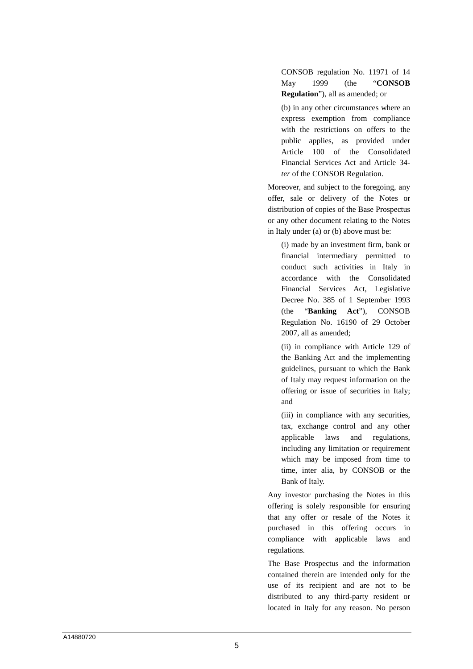CONSOB regulation No. 11971 of 14 May 1999 (the "**CONSOB Regulation**"), all as amended; or

(b) in any other circumstances where an express exemption from compliance with the restrictions on offers to the public applies, as provided under Article 100 of the Consolidated Financial Services Act and Article 34 *ter* of the CONSOB Regulation.

Moreover, and subject to the foregoing, any offer, sale or delivery of the Notes or distribution of copies of the Base Prospectus or any other document relating to the Notes in Italy under (a) or (b) above must be:

(i) made by an investment firm, bank or financial intermediary permitted to conduct such activities in Italy in accordance with the Consolidated Financial Services Act, Legislative Decree No. 385 of 1 September 1993 (the "**Banking Act**"), CONSOB Regulation No. 16190 of 29 October 2007, all as amended;

(ii) in compliance with Article 129 of the Banking Act and the implementing guidelines, pursuant to which the Bank of Italy may request information on the offering or issue of securities in Italy; and

(iii) in compliance with any securities, tax, exchange control and any other applicable laws and regulations, including any limitation or requirement which may be imposed from time to time, inter alia, by CONSOB or the Bank of Italy.

Any investor purchasing the Notes in this offering is solely responsible for ensuring that any offer or resale of the Notes it purchased in this offering occurs in compliance with applicable laws and regulations.

The Base Prospectus and the information contained therein are intended only for the use of its recipient and are not to be distributed to any third-party resident or located in Italy for any reason. No person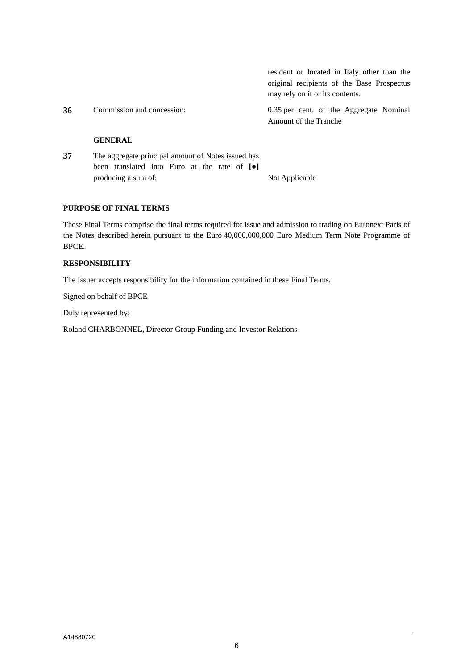|    |                                                    | resident or located in Italy other than the<br>original recipients of the Base Prospectus<br>may rely on it or its contents. |
|----|----------------------------------------------------|------------------------------------------------------------------------------------------------------------------------------|
| 36 | Commission and concession:                         | 0.35 per cent. of the Aggregate Nominal<br>Amount of the Tranche                                                             |
|    | <b>GENERAL</b>                                     |                                                                                                                              |
| 37 | The aggregate principal amount of Notes issued has |                                                                                                                              |

| 37 | The aggregate principal amount of Notes issued has |                                                                  |  |  |  |  |  |  |                |  |
|----|----------------------------------------------------|------------------------------------------------------------------|--|--|--|--|--|--|----------------|--|
|    |                                                    | been translated into Euro at the rate of $\lceil \bullet \rceil$ |  |  |  |  |  |  |                |  |
|    | producing a sum of:                                |                                                                  |  |  |  |  |  |  | Not Applicable |  |

### **PURPOSE OF FINAL TERMS**

These Final Terms comprise the final terms required for issue and admission to trading on Euronext Paris of the Notes described herein pursuant to the Euro 40,000,000,000 Euro Medium Term Note Programme of BPCE.

### **RESPONSIBILITY**

The Issuer accepts responsibility for the information contained in these Final Terms.

Signed on behalf of BPCE

Duly represented by:

Roland CHARBONNEL, Director Group Funding and Investor Relations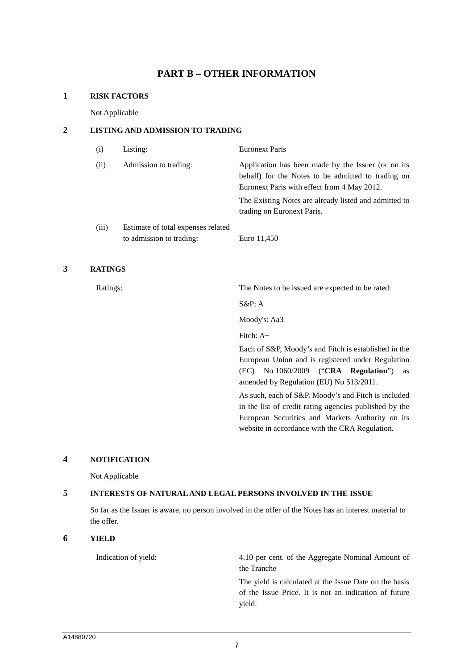## **PART B – OTHER INFORMATION**

#### **1 RISK FACTORS**

Not Applicable

### **2 LISTING AND ADMISSION TO TRADING**

| (i)   | Listing:                                                       | <b>Euronext Paris</b>                                                                                                                                   |
|-------|----------------------------------------------------------------|---------------------------------------------------------------------------------------------------------------------------------------------------------|
| (ii)  | Admission to trading:                                          | Application has been made by the Issuer (or on its<br>behalf) for the Notes to be admitted to trading on<br>Euronext Paris with effect from 4 May 2012. |
|       |                                                                | The Existing Notes are already listed and admitted to<br>trading on Euronext Paris.                                                                     |
| (iii) | Estimate of total expenses related<br>to admission to trading: | Euro 11,450                                                                                                                                             |

## **3 RATINGS**

Ratings: The Notes to be issued are expected to be rated:

S&P: A

Moody's: Aa3

Fitch: A+

Each of S&P, Moody's and Fitch is established in the European Union and is registered under Regulation (EC) No 1060/2009 ("**CRA Regulation**") as amended by Regulation (EU) No 513/2011.

As such, each of S&P, Moody's and Fitch is included in the list of credit rating agencies published by the European Securities and Markets Authority on its website in accordance with the CRA Regulation.

### **4 NOTIFICATION**

Not Applicable

## **5 INTERESTS OF NATURAL AND LEGAL PERSONS INVOLVED IN THE ISSUE**

So far as the Issuer is aware, no person involved in the offer of the Notes has an interest material to the offer.

### **6 YIELD**

Indication of yield: 4.10 per cent. of the Aggregate Nominal Amount of the Tranche

> The yield is calculated at the Issue Date on the basis of the Issue Price. It is not an indication of future yield.